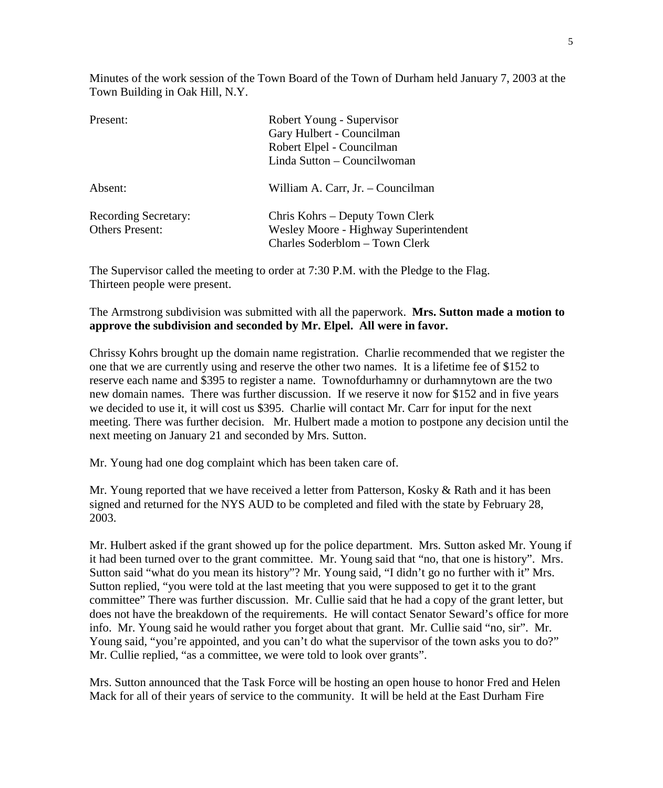Minutes of the work session of the Town Board of the Town of Durham held January 7, 2003 at the Town Building in Oak Hill, N.Y.

| Present:                                              | Robert Young - Supervisor<br>Gary Hulbert - Councilman<br>Robert Elpel - Councilman                        |
|-------------------------------------------------------|------------------------------------------------------------------------------------------------------------|
| Absent:                                               | Linda Sutton - Councilwoman<br>William A. Carr, Jr. - Councilman                                           |
| <b>Recording Secretary:</b><br><b>Others Present:</b> | Chris Kohrs – Deputy Town Clerk<br>Wesley Moore - Highway Superintendent<br>Charles Soderblom - Town Clerk |

The Supervisor called the meeting to order at 7:30 P.M. with the Pledge to the Flag. Thirteen people were present.

The Armstrong subdivision was submitted with all the paperwork. **Mrs. Sutton made a motion to approve the subdivision and seconded by Mr. Elpel. All were in favor.** 

Chrissy Kohrs brought up the domain name registration. Charlie recommended that we register the one that we are currently using and reserve the other two names. It is a lifetime fee of \$152 to reserve each name and \$395 to register a name. Townofdurhamny or durhamnytown are the two new domain names. There was further discussion. If we reserve it now for \$152 and in five years we decided to use it, it will cost us \$395. Charlie will contact Mr. Carr for input for the next meeting. There was further decision. Mr. Hulbert made a motion to postpone any decision until the next meeting on January 21 and seconded by Mrs. Sutton.

Mr. Young had one dog complaint which has been taken care of.

Mr. Young reported that we have received a letter from Patterson, Kosky & Rath and it has been signed and returned for the NYS AUD to be completed and filed with the state by February 28, 2003.

Mr. Hulbert asked if the grant showed up for the police department. Mrs. Sutton asked Mr. Young if it had been turned over to the grant committee. Mr. Young said that "no, that one is history". Mrs. Sutton said "what do you mean its history"? Mr. Young said, "I didn't go no further with it" Mrs. Sutton replied, "you were told at the last meeting that you were supposed to get it to the grant committee" There was further discussion. Mr. Cullie said that he had a copy of the grant letter, but does not have the breakdown of the requirements. He will contact Senator Seward's office for more info. Mr. Young said he would rather you forget about that grant. Mr. Cullie said "no, sir". Mr. Young said, "you're appointed, and you can't do what the supervisor of the town asks you to do?" Mr. Cullie replied, "as a committee, we were told to look over grants".

Mrs. Sutton announced that the Task Force will be hosting an open house to honor Fred and Helen Mack for all of their years of service to the community. It will be held at the East Durham Fire